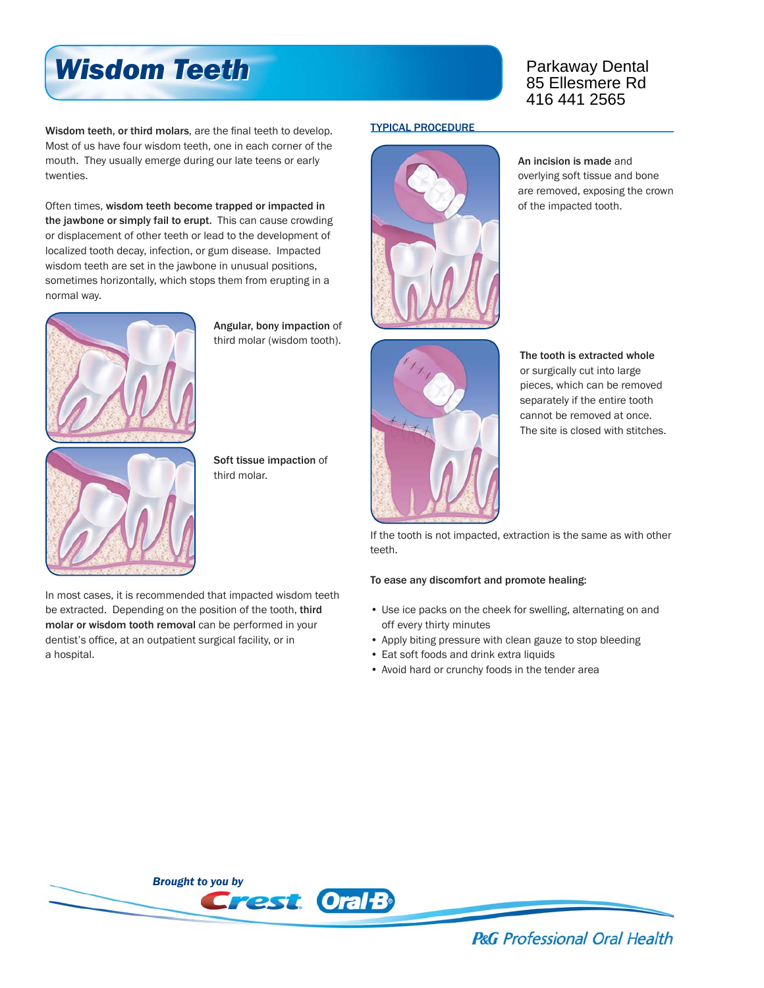## *Wisdom Teeth Wisdom Teeth*

Wisdom teeth, or third molars, are the final teeth to develop. Most of us have four wisdom teeth, one in each corner of the mouth. They usually emerge during our late teens or early twenties.

Often times, wisdom teeth become trapped or impacted in the jawbone or simply fail to erupt. This can cause crowding or displacement of other teeth or lead to the development of localized tooth decay, infection, or gum disease. Impacted wisdom teeth are set in the jawbone in unusual positions, sometimes horizontally, which stops them from erupting in a normal way.



Angular, bony impaction of third molar (wisdom tooth).

Soft tissue impaction of

third molar.



TYPICAL PROCEDURE



An incision is made and overlying soft tissue and bone are removed, exposing the crown of the impacted tooth.



The tooth is extracted whole or surgically cut into large pieces, which can be removed separately if the entire tooth cannot be removed at once. The site is closed with stitches.

If the tooth is not impacted, extraction is the same as with other teeth.

## To ease any discomfort and promote healing:

- Use ice packs on the cheek for swelling, alternating on and off every thirty minutes
- Apply biting pressure with clean gauze to stop bleeding
- Eat soft foods and drink extra liquids
- Avoid hard or crunchy foods in the tender area





**P&G** Professional Oral Health